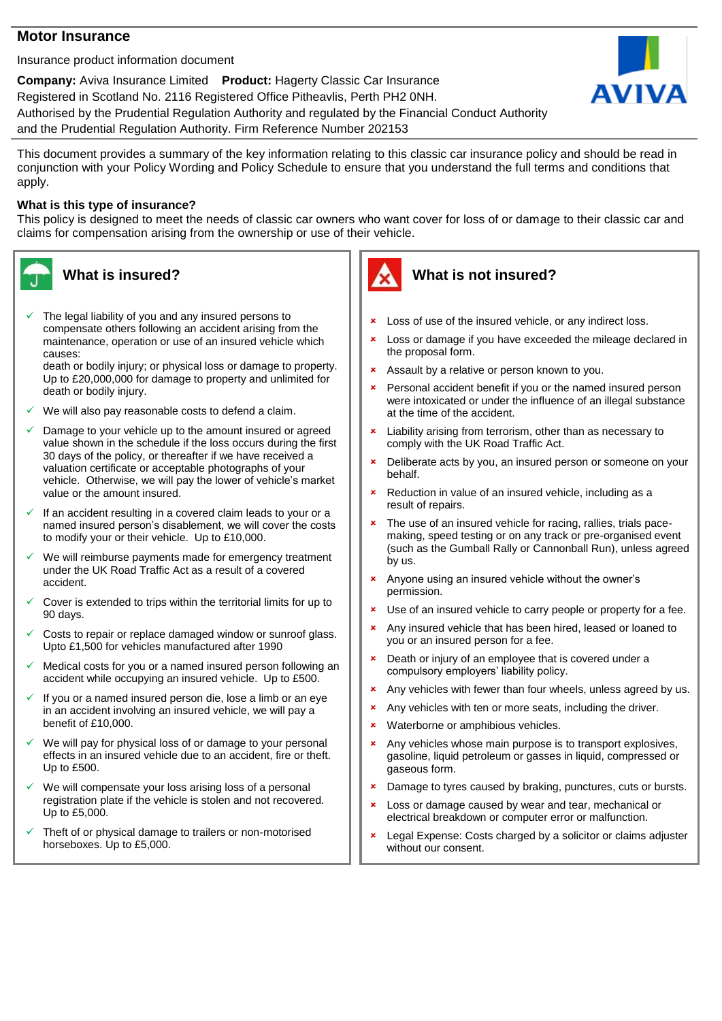### **Motor Insurance**

Insurance product information document

**Company:** Aviva Insurance Limited **Product:** Hagerty Classic Car Insurance Registered in Scotland No. 2116 Registered Office Pitheavlis, Perth PH2 0NH. Authorised by the Prudential Regulation Authority and regulated by the Financial Conduct Authority and the Prudential Regulation Authority. Firm Reference Number 202153



This document provides a summary of the key information relating to this classic car insurance policy and should be read in conjunction with your Policy Wording and Policy Schedule to ensure that you understand the full terms and conditions that apply.

#### **What is this type of insurance?**

This policy is designed to meet the needs of classic car owners who want cover for loss of or damage to their classic car and claims for compensation arising from the ownership or use of their vehicle.



The legal liability of you and any insured persons to compensate others following an accident arising from the maintenance, operation or use of an insured vehicle which causes:

death or bodily injury; or physical loss or damage to property. Up to £20,000,000 for damage to property and unlimited for death or bodily injury.

- We will also pay reasonable costs to defend a claim.
- Damage to your vehicle up to the amount insured or agreed value shown in the schedule if the loss occurs during the first 30 days of the policy, or thereafter if we have received a valuation certificate or acceptable photographs of your vehicle. Otherwise, we will pay the lower of vehicle's market value or the amount insured.
- If an accident resulting in a covered claim leads to your or a named insured person's disablement, we will cover the costs to modify your or their vehicle. Up to £10,000.
- We will reimburse payments made for emergency treatment under the UK Road Traffic Act as a result of a covered accident.
- Cover is extended to trips within the territorial limits for up to 90 days.
- Costs to repair or replace damaged window or sunroof glass. Upto £1,500 for vehicles manufactured after 1990
- Medical costs for you or a named insured person following an accident while occupying an insured vehicle. Up to £500.
- If you or a named insured person die, lose a limb or an eye in an accident involving an insured vehicle, we will pay a benefit of £10,000.
- We will pay for physical loss of or damage to your personal effects in an insured vehicle due to an accident, fire or theft. Up to £500.
- We will compensate your loss arising loss of a personal registration plate if the vehicle is stolen and not recovered. Up to £5,000.
- Theft of or physical damage to trailers or non-motorised horseboxes. Up to £5,000.



# **What is not insured?**

- **\*** Loss of use of the insured vehicle, or any indirect loss.
- **x** Loss or damage if you have exceeded the mileage declared in the proposal form.
- **\*** Assault by a relative or person known to you.
- Personal accident benefit if you or the named insured person were intoxicated or under the influence of an illegal substance at the time of the accident.
- **\*** Liability arising from terrorism, other than as necessary to comply with the UK Road Traffic Act.
- **EX** Deliberate acts by you, an insured person or someone on your behalf.
- **\*** Reduction in value of an insured vehicle, including as a result of repairs.
- \* The use of an insured vehicle for racing, rallies, trials pacemaking, speed testing or on any track or pre-organised event (such as the Gumball Rally or Cannonball Run), unless agreed by us.
- Anyone using an insured vehicle without the owner's permission.
- Use of an insured vehicle to carry people or property for a fee.
- **\*** Any insured vehicle that has been hired, leased or loaned to you or an insured person for a fee.
- **x** Death or injury of an employee that is covered under a compulsory employers' liability policy.
- **\*** Any vehicles with fewer than four wheels, unless agreed by us.
- **\*** Any vehicles with ten or more seats, including the driver.
- **\*** Waterborne or amphibious vehicles.
- **\*** Any vehicles whose main purpose is to transport explosives, gasoline, liquid petroleum or gasses in liquid, compressed or gaseous form.
- Damage to tyres caused by braking, punctures, cuts or bursts.
- **x** Loss or damage caused by wear and tear, mechanical or electrical breakdown or computer error or malfunction.
- Legal Expense: Costs charged by a solicitor or claims adjuster without our consent.